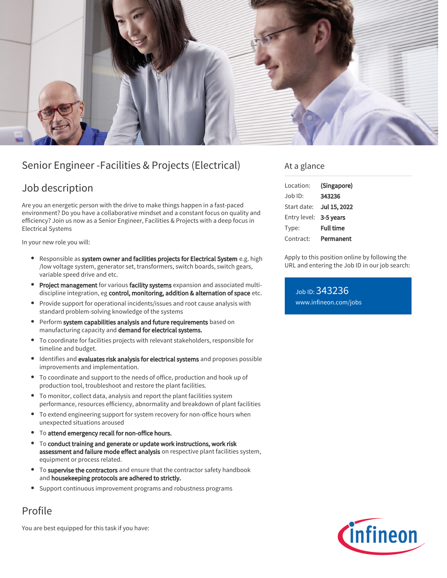

## Senior Engineer -Facilities & Projects (Electrical)

### Job description

Are you an energetic person with the drive to make things happen in a fast-paced environment? Do you have a collaborative mindset and a constant focus on quality and efficiency? Join us now as a Senior Engineer, Facilities & Projects with a deep focus in Electrical Systems

In your new role you will:

- Responsible as system owner and facilities projects for Electrical System e.g. high /low voltage system, generator set, transformers, switch boards, switch gears, variable speed drive and etc.
- Project management for various facility systems expansion and associated multidiscipline integration, eg control, monitoring, addition & alternation of space etc.
- Provide support for operational incidents/issues and root cause analysis with standard problem-solving knowledge of the systems
- Perform system capabilities analysis and future requirements based on manufacturing capacity and demand for electrical systems.
- To coordinate for facilities projects with relevant stakeholders, responsible for  $\bullet$ timeline and budget.
- Identifies and evaluates risk analysis for electrical systems and proposes possible improvements and implementation.
- To coordinate and support to the needs of office, production and hook up of production tool, troubleshoot and restore the plant facilities.
- To monitor, collect data, analysis and report the plant facilities system performance, resources efficiency, abnormality and breakdown of plant facilities
- To extend engineering support for system recovery for non-office hours when unexpected situations aroused
- To attend emergency recall for non-office hours.
- To conduct training and generate or update work instructions, work risk  $\bullet$ assessment and failure mode effect analysis on respective plant facilities system, equipment or process related.
- To supervise the contractors and ensure that the contractor safety handbook and housekeeping protocols are adhered to strictly.
- Support continuous improvement programs and robustness programs

# Profile

You are best equipped for this task if you have:

### At a glance

| I ocation:             | (Singapore)      |
|------------------------|------------------|
| Job ID:                | 343236           |
| Start date:            | Jul 15, 2022     |
| Entry level: 3-5 years |                  |
| Type:                  | <b>Full time</b> |
| Contract:              | Permanent        |

Apply to this position online by following the URL and entering the Job ID in our job search:

Job ID: 343236 [www.infineon.com/jobs](https://www.infineon.com/jobs)